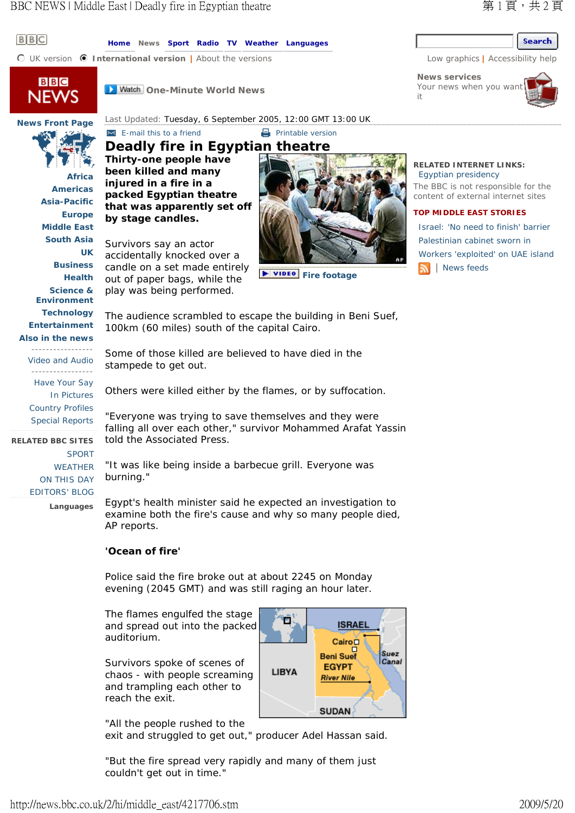## $B$  $B$  $C$

**Home News Sport Radio TV Weather Languages**

**n** UK version **1 International version** | About the versions Low graphics | Accessibility help



**News Front Page**

**Africa Americas Asia-Pacific Europe Middle East South Asia**

**UK Business Health Science & Environment Technology Entertainment Also in the news**

**D** Watch One-Minute World News

Last Updated: Tuesday, 6 September 2005, 12:00 GMT 13:00 UK

# **E**-mail this to a friend **Printable version Deadly fire in Egyptian theatre**

**Thirty-one people have been killed and many injured in a fire in a packed Egyptian theatre that was apparently set off by stage candles.**

Survivors say an actor accidentally knocked over a candle on a set made entirely out of paper bags, while the play was being performed.



**Fire footage** 

#### **RELATED INTERNET LINKS:**  Egyptian presidency

The BBC is not responsible for the content of external internet sites

#### **TOP MIDDLE EAST STORIES**

Israel: 'No need to finish' barrier Palestinian cabinet sworn in Workers 'exploited' on UAE island | News feeds

The audience scrambled to escape the building in Beni Suef, 100km (60 miles) south of the capital Cairo.

Some of those killed are believed to have died in the stampede to get out.

Others were killed either by the flames, or by suffocation.

"Everyone was trying to save themselves and they were falling all over each other," survivor Mohammed Arafat Yassin told the Associated Press.

"It was like being inside a barbecue grill. Everyone was burning."

Egypt's health minister said he expected an investigation to examine both the fire's cause and why so many people died, AP reports.

### **'Ocean of fire'**

**Languages** 

SPORT WEATHER ON THIS DAY EDITORS' BLOG

-----------------

-----------------

Have Your Say In Pictures Country Profiles Special Reports

**RELATED BBC SITES** 

Video and Audio

Police said the fire broke out at about 2245 on Monday evening (2045 GMT) and was still raging an hour later.

п

**LIBYA** 

**ISRAEL** Cairo Beni Suef

**EGYPT** 

**River Nile** 

**SUDAN** 

Suez Canal

The flames engulfed the stage and spread out into the packed auditorium.

Survivors spoke of scenes of chaos - with people screaming and trampling each other to reach the exit.

"All the people rushed to the exit and struggled to get out," producer Adel Hassan said.

"But the fire spread very rapidly and many of them just couldn't get out in time."



**News services** Your news when you war it